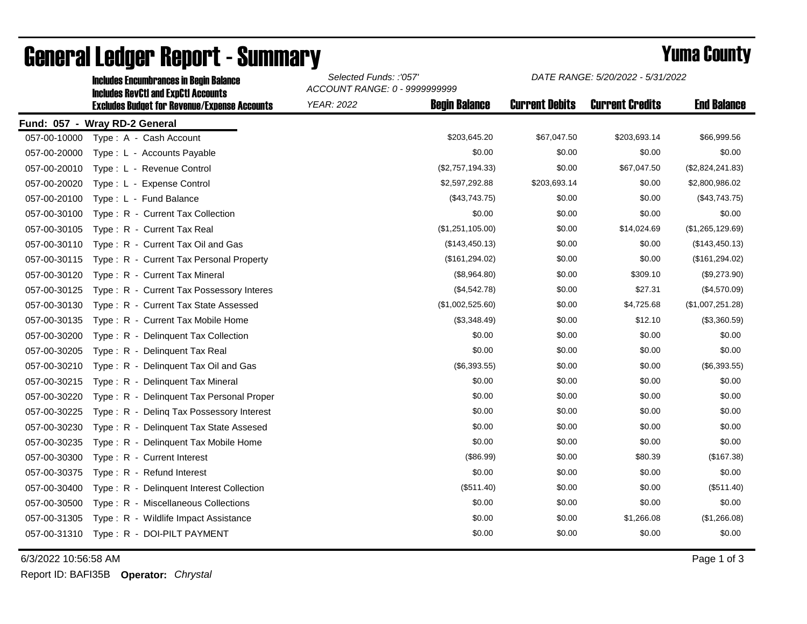|                               | <b>Includes RevCtI and ExpCtI Accounts</b><br><b>Excludes Budget for Revenue/Expense Accounts</b> | ACCOUNT RANGE: 0 - 9999999999 |                      |                       |                        |                    |  |  |
|-------------------------------|---------------------------------------------------------------------------------------------------|-------------------------------|----------------------|-----------------------|------------------------|--------------------|--|--|
|                               |                                                                                                   | <b>YEAR: 2022</b>             | <b>Begin Balance</b> | <b>Current Debits</b> | <b>Current Credits</b> | <b>End Balance</b> |  |  |
| Fund: 057 - Wray RD-2 General |                                                                                                   |                               |                      |                       |                        |                    |  |  |
| 057-00-10000                  | Type: A - Cash Account                                                                            |                               | \$203,645.20         | \$67,047.50           | \$203,693.14           | \$66,999.56        |  |  |
| 057-00-20000                  | Type: L - Accounts Payable                                                                        |                               | \$0.00               | \$0.00                | \$0.00                 | \$0.00             |  |  |
| 057-00-20010                  | Type: L - Revenue Control                                                                         |                               | (\$2,757,194.33)     | \$0.00                | \$67,047.50            | (\$2,824,241.83)   |  |  |
| 057-00-20020                  | Type: L - Expense Control                                                                         |                               | \$2,597,292.88       | \$203,693.14          | \$0.00                 | \$2,800,986.02     |  |  |
| 057-00-20100                  | Type: L - Fund Balance                                                                            |                               | (\$43,743.75)        | \$0.00                | \$0.00                 | (\$43,743.75)      |  |  |
| 057-00-30100                  | Type: R - Current Tax Collection                                                                  |                               | \$0.00               | \$0.00                | \$0.00                 | \$0.00             |  |  |
| 057-00-30105                  | Type: R - Current Tax Real                                                                        |                               | (\$1,251,105.00)     | \$0.00                | \$14,024.69            | (\$1,265,129.69)   |  |  |
| 057-00-30110                  | Type: R - Current Tax Oil and Gas                                                                 |                               | (\$143,450.13)       | \$0.00                | \$0.00                 | (\$143,450.13)     |  |  |
| 057-00-30115                  | Type: R - Current Tax Personal Property                                                           |                               | (\$161, 294.02)      | \$0.00                | \$0.00                 | (\$161, 294.02)    |  |  |
| 057-00-30120                  | Type: R - Current Tax Mineral                                                                     |                               | (\$8,964.80)         | \$0.00                | \$309.10               | (\$9,273.90)       |  |  |
| 057-00-30125                  | Type: R - Current Tax Possessory Interes                                                          |                               | (\$4,542.78)         | \$0.00                | \$27.31                | (\$4,570.09)       |  |  |
| 057-00-30130                  | Type: R - Current Tax State Assessed                                                              |                               | (\$1,002,525.60)     | \$0.00                | \$4,725.68             | (\$1,007,251.28)   |  |  |
| 057-00-30135                  | Type: R - Current Tax Mobile Home                                                                 |                               | (\$3,348.49)         | \$0.00                | \$12.10                | (\$3,360.59)       |  |  |
| 057-00-30200                  | Type: R - Delinquent Tax Collection                                                               |                               | \$0.00               | \$0.00                | \$0.00                 | \$0.00             |  |  |
| 057-00-30205                  | Type: R - Delinquent Tax Real                                                                     |                               | \$0.00               | \$0.00                | \$0.00                 | \$0.00             |  |  |
| 057-00-30210                  | Type: R - Delinquent Tax Oil and Gas                                                              |                               | (\$6,393.55)         | \$0.00                | \$0.00                 | (\$6,393.55)       |  |  |
| 057-00-30215                  | $Type: R -$<br>Delinquent Tax Mineral                                                             |                               | \$0.00               | \$0.00                | \$0.00                 | \$0.00             |  |  |
| 057-00-30220                  | Type: R - Delinquent Tax Personal Proper                                                          |                               | \$0.00               | \$0.00                | \$0.00                 | \$0.00             |  |  |
| 057-00-30225                  | $T$ vpe : $R -$<br>Deling Tax Possessory Interest                                                 |                               | \$0.00               | \$0.00                | \$0.00                 | \$0.00             |  |  |
| 057-00-30230                  | Type: R - Delinquent Tax State Assesed                                                            |                               | \$0.00               | \$0.00                | \$0.00                 | \$0.00             |  |  |
| 057-00-30235                  | Type: R - Delinquent Tax Mobile Home                                                              |                               | \$0.00               | \$0.00                | \$0.00                 | \$0.00             |  |  |
| 057-00-30300                  | Type: R - Current Interest                                                                        |                               | (\$86.99)            | \$0.00                | \$80.39                | (\$167.38)         |  |  |
| 057-00-30375                  | Type: R - Refund Interest                                                                         |                               | \$0.00               | \$0.00                | \$0.00                 | \$0.00             |  |  |
| 057-00-30400                  | Type: R - Delinquent Interest Collection                                                          |                               | (\$511.40)           | \$0.00                | \$0.00                 | (\$511.40)         |  |  |
| 057-00-30500                  | Type: R - Miscellaneous Collections                                                               |                               | \$0.00               | \$0.00                | \$0.00                 | \$0.00             |  |  |
| 057-00-31305                  | Type: R - Wildlife Impact Assistance                                                              |                               | \$0.00               | \$0.00                | \$1,266.08             | (\$1,266.08)       |  |  |
| 057-00-31310                  | Type: R - DOI-PILT PAYMENT                                                                        |                               | \$0.00               | \$0.00                | \$0.00                 | \$0.00             |  |  |
|                               |                                                                                                   |                               |                      |                       |                        |                    |  |  |

## General Ledger Report - Summary **Example 2018** Yuma County

Includes Encumbrances in Begin Balance *Selected Funds: :'057'*

6/3/2022 10:56:58 AM Page 1 of 3

Report ID: BAFI35B **Operator:** *Chrystal*

*DATE RANGE: 5/20/2022 - 5/31/2022*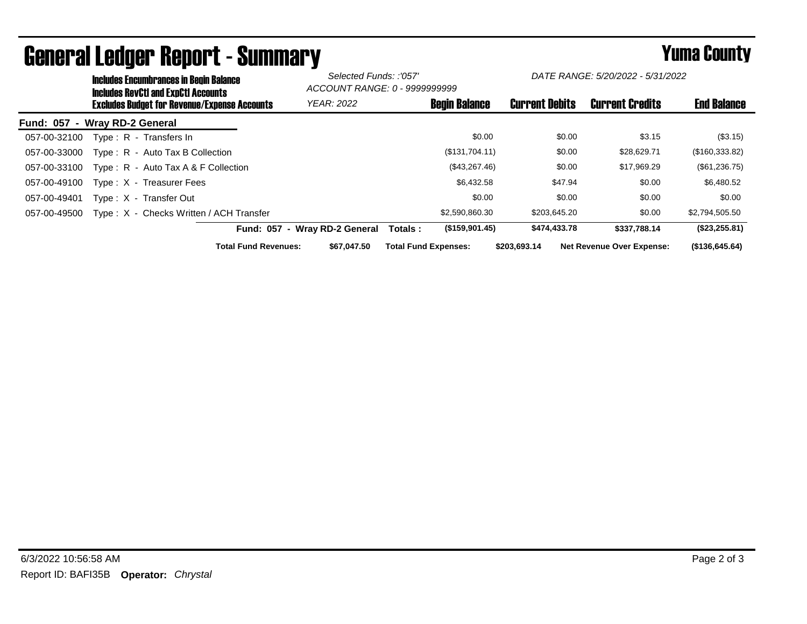| <b>Includes Encumbrances in Begin Balance</b><br><b>Includes RevCtI and ExpCtI Accounts</b> |                               | Selected Funds: :'057'<br>ACCOUNT RANGE: 0 - 9999999999 |                       | DATE RANGE: 5/20/2022 - 5/31/2022 |                    |
|---------------------------------------------------------------------------------------------|-------------------------------|---------------------------------------------------------|-----------------------|-----------------------------------|--------------------|
| <b>Excludes Budget for Revenue/Expense Accounts</b>                                         | <b>YEAR: 2022</b>             | <b>Begin Balance</b>                                    | <b>Current Debits</b> | <b>Current Credits</b>            | <b>End Balance</b> |
| - Wray RD-2 General<br><b>Fund: 057</b>                                                     |                               |                                                         |                       |                                   |                    |
| Type: R - Transfers In<br>057-00-32100                                                      |                               | \$0.00                                                  | \$0.00                | \$3.15                            | $(\$3.15)$         |
| Type: R - Auto Tax B Collection<br>057-00-33000                                             |                               | (\$131,704.11)                                          | \$0.00                | \$28,629.71                       | (\$160,333.82)     |
| Type: $R -$ Auto Tax A & F Collection<br>057-00-33100                                       |                               | (\$43,267.46)                                           | \$0.00                | \$17,969.29                       | $(\$61,236.75)$    |
| Type: X - Treasurer Fees<br>057-00-49100                                                    |                               | \$6,432.58                                              | \$47.94               | \$0.00                            | \$6,480.52         |
| Type: X - Transfer Out<br>057-00-49401                                                      |                               | \$0.00                                                  | \$0.00                | \$0.00                            | \$0.00             |
| Type: X - Checks Written / ACH Transfer<br>057-00-49500                                     |                               | \$2,590,860.30                                          | \$203,645.20          | \$0.00                            | \$2,794,505.50     |
|                                                                                             | Fund: 057 - Wray RD-2 General | (\$159,901.45)<br>Totals :                              | \$474,433.78          | \$337,788.14                      | (\$23,255.81)      |
| <b>Total Fund Revenues:</b>                                                                 | \$67.047.50                   | <b>Total Fund Expenses:</b>                             | \$203,693.14          | <b>Net Revenue Over Expense:</b>  | (\$136,645.64)     |

## General Ledger Report - Summary **Secret Express 2008 Secret Proport** - Summary